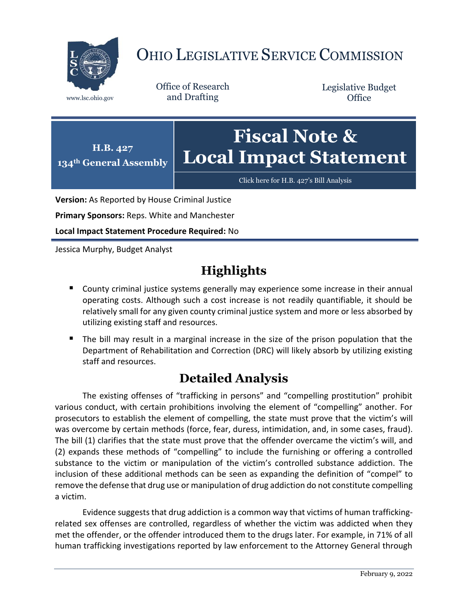

# OHIO LEGISLATIVE SERVICE COMMISSION

Office of Research www.lsc.ohio.gov and Drafting

Legislative Budget **Office** 



[Click here for H.B. 427](https://www.legislature.ohio.gov/legislation/legislation-documents?id=GA134-HB-427)'s Bill Analysis

**Version:** As Reported by House Criminal Justice

**Primary Sponsors:** Reps. White and Manchester

**Local Impact Statement Procedure Required:** No

Jessica Murphy, Budget Analyst

## **Highlights**

- **County criminal justice systems generally may experience some increase in their annual** operating costs. Although such a cost increase is not readily quantifiable, it should be relatively small for any given county criminal justice system and more or less absorbed by utilizing existing staff and resources.
- The bill may result in a marginal increase in the size of the prison population that the Department of Rehabilitation and Correction (DRC) will likely absorb by utilizing existing staff and resources.

## **Detailed Analysis**

The existing offenses of "trafficking in persons" and "compelling prostitution" prohibit various conduct, with certain prohibitions involving the element of "compelling" another. For prosecutors to establish the element of compelling, the state must prove that the victim's will was overcome by certain methods (force, fear, duress, intimidation, and, in some cases, fraud). The bill (1) clarifies that the state must prove that the offender overcame the victim's will, and (2) expands these methods of "compelling" to include the furnishing or offering a controlled substance to the victim or manipulation of the victim's controlled substance addiction. The inclusion of these additional methods can be seen as expanding the definition of "compel" to remove the defense that drug use or manipulation of drug addiction do not constitute compelling a victim.

Evidence suggests that drug addiction is a common way that victims of human traffickingrelated sex offenses are controlled, regardless of whether the victim was addicted when they met the offender, or the offender introduced them to the drugs later. For example, in 71% of all human trafficking investigations reported by law enforcement to the Attorney General through